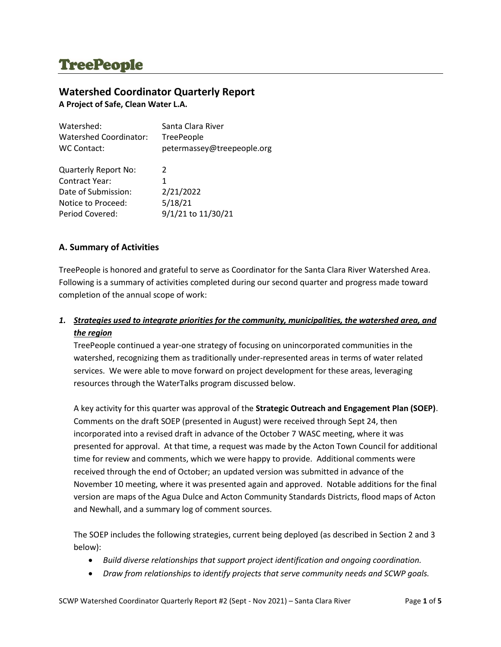# **TreePeople**

# **Watershed Coordinator Quarterly Report**

**A Project of Safe, Clean Water L.A.**

| Watershed:                  | Santa Clara River          |
|-----------------------------|----------------------------|
| Watershed Coordinator:      | TreePeople                 |
| WC Contact:                 | petermassey@treepeople.org |
|                             |                            |
| <b>Quarterly Report No:</b> | 2                          |
| <b>Contract Year:</b>       | 1.                         |
| Date of Submission:         | 2/21/2022                  |
| Notice to Proceed:          | 5/18/21                    |
| Period Covered:             | 9/1/21 to 11/30/21         |

# **A. Summary of Activities**

TreePeople is honored and grateful to serve as Coordinator for the Santa Clara River Watershed Area. Following is a summary of activities completed during our second quarter and progress made toward completion of the annual scope of work:

# *1. Strategies used to integrate priorities for the community, municipalities, the watershed area, and the region*

TreePeople continued a year-one strategy of focusing on unincorporated communities in the watershed, recognizing them as traditionally under-represented areas in terms of water related services. We were able to move forward on project development for these areas, leveraging resources through the WaterTalks program discussed below.

A key activity for this quarter was approval of the **Strategic Outreach and Engagement Plan (SOEP)**. Comments on the draft SOEP (presented in August) were received through Sept 24, then incorporated into a revised draft in advance of the October 7 WASC meeting, where it was presented for approval. At that time, a request was made by the Acton Town Council for additional time for review and comments, which we were happy to provide. Additional comments were received through the end of October; an updated version was submitted in advance of the November 10 meeting, where it was presented again and approved. Notable additions for the final version are maps of the Agua Dulce and Acton Community Standards Districts, flood maps of Acton and Newhall, and a summary log of comment sources.

The SOEP includes the following strategies, current being deployed (as described in Section 2 and 3 below):

- *Build diverse relationships that support project identification and ongoing coordination.*
- *Draw from relationships to identify projects that serve community needs and SCWP goals.*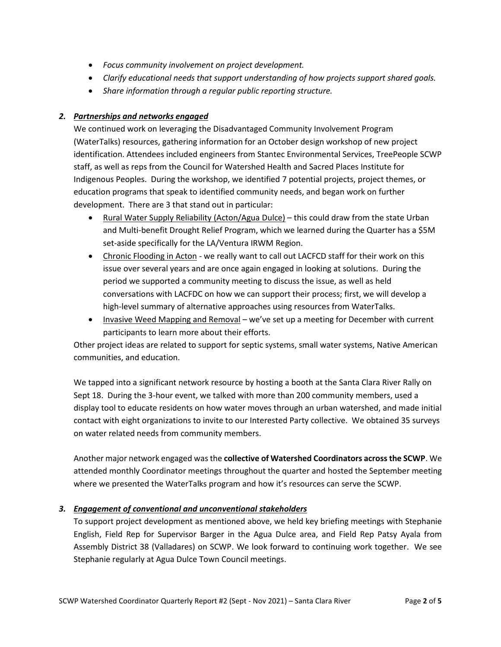- *Focus community involvement on project development.*
- *Clarify educational needs that support understanding of how projects support shared goals.*
- *Share information through a regular public reporting structure.*

# *2. Partnerships and networks engaged*

We continued work on leveraging the Disadvantaged Community Involvement Program (WaterTalks) resources, gathering information for an October design workshop of new project identification. Attendees included engineers from Stantec Environmental Services, TreePeople SCWP staff, as well as reps from the Council for Watershed Health and Sacred Places Institute for Indigenous Peoples. During the workshop, we identified 7 potential projects, project themes, or education programs that speak to identified community needs, and began work on further development. There are 3 that stand out in particular:

- Rural Water Supply Reliability (Acton/Agua Dulce) this could draw from the state Urban and Multi-benefit Drought Relief Program, which we learned during the Quarter has a \$5M set-aside specifically for the LA/Ventura IRWM Region.
- Chronic Flooding in Acton we really want to call out LACFCD staff for their work on this issue over several years and are once again engaged in looking at solutions. During the period we supported a community meeting to discuss the issue, as well as held conversations with LACFDC on how we can support their process; first, we will develop a high-level summary of alternative approaches using resources from WaterTalks.
- Invasive Weed Mapping and Removal we've set up a meeting for December with current participants to learn more about their efforts.

Other project ideas are related to support for septic systems, small water systems, Native American communities, and education.

We tapped into a significant network resource by hosting a booth at the Santa Clara River Rally on Sept 18. During the 3-hour event, we talked with more than 200 community members, used a display tool to educate residents on how water moves through an urban watershed, and made initial contact with eight organizations to invite to our Interested Party collective. We obtained 35 surveys on water related needs from community members.

Another major network engaged was the **collective of Watershed Coordinators across the SCWP**. We attended monthly Coordinator meetings throughout the quarter and hosted the September meeting where we presented the WaterTalks program and how it's resources can serve the SCWP.

## *3. Engagement of conventional and unconventional stakeholders*

To support project development as mentioned above, we held key briefing meetings with Stephanie English, Field Rep for Supervisor Barger in the Agua Dulce area, and Field Rep Patsy Ayala from Assembly District 38 (Valladares) on SCWP. We look forward to continuing work together. We see Stephanie regularly at Agua Dulce Town Council meetings.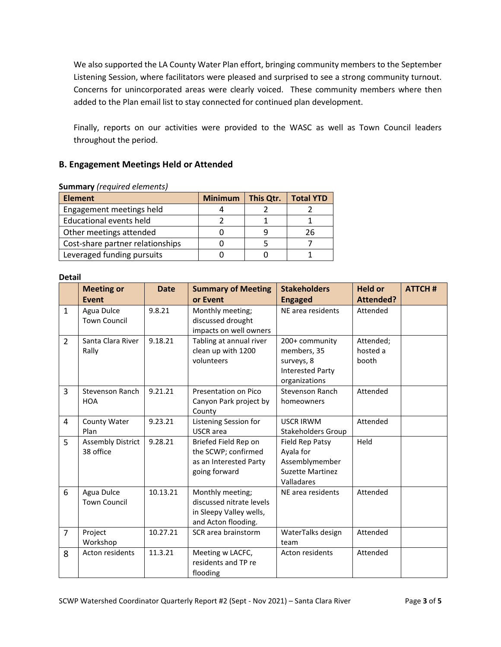We also supported the LA County Water Plan effort, bringing community members to the September Listening Session, where facilitators were pleased and surprised to see a strong community turnout. Concerns for unincorporated areas were clearly voiced. These community members where then added to the Plan email list to stay connected for continued plan development.

Finally, reports on our activities were provided to the WASC as well as Town Council leaders throughout the period.

# **B. Engagement Meetings Held or Attended**

| <b>Element</b>                   | <b>Minimum</b> | This Qtr. | <b>Total YTD</b> |  |  |  |
|----------------------------------|----------------|-----------|------------------|--|--|--|
| Engagement meetings held         |                |           |                  |  |  |  |
| <b>Educational events held</b>   |                |           |                  |  |  |  |
| Other meetings attended          |                |           | 26               |  |  |  |
| Cost-share partner relationships |                |           |                  |  |  |  |
| Leveraged funding pursuits       |                |           |                  |  |  |  |

#### **Summary** *(required elements)*

#### **Detail**

|                | <b>Meeting or</b>        | <b>Date</b> | <b>Summary of Meeting</b> | <b>Stakeholders</b>       | <b>Held or</b> | <b>ATTCH#</b> |
|----------------|--------------------------|-------------|---------------------------|---------------------------|----------------|---------------|
|                | <b>Event</b>             |             | or Event                  | <b>Engaged</b>            | Attended?      |               |
| $\mathbf{1}$   | Agua Dulce               | 9.8.21      | Monthly meeting;          | NE area residents         | Attended       |               |
|                | <b>Town Council</b>      |             | discussed drought         |                           |                |               |
|                |                          |             | impacts on well owners    |                           |                |               |
| $\overline{2}$ | Santa Clara River        | 9.18.21     | Tabling at annual river   | 200+ community            | Attended;      |               |
|                | Rally                    |             | clean up with 1200        | members, 35               | hosted a       |               |
|                |                          |             | volunteers                | surveys, 8                | booth          |               |
|                |                          |             |                           | <b>Interested Party</b>   |                |               |
|                |                          |             |                           | organizations             |                |               |
| 3              | Stevenson Ranch          | 9.21.21     | Presentation on Pico      | Stevenson Ranch           | Attended       |               |
|                | <b>HOA</b>               |             | Canyon Park project by    | homeowners                |                |               |
|                |                          |             | County                    |                           |                |               |
| 4              | County Water             | 9.23.21     | Listening Session for     | <b>USCR IRWM</b>          | Attended       |               |
|                | Plan                     |             | <b>USCR</b> area          | <b>Stakeholders Group</b> |                |               |
| 5              | <b>Assembly District</b> | 9.28.21     | Briefed Field Rep on      | Field Rep Patsy           | Held           |               |
|                | 38 office                |             | the SCWP; confirmed       | Ayala for                 |                |               |
|                |                          |             | as an Interested Party    | Assemblymember            |                |               |
|                |                          |             | going forward             | <b>Suzette Martinez</b>   |                |               |
|                |                          |             |                           | Valladares                |                |               |
| 6              | Agua Dulce               | 10.13.21    | Monthly meeting;          | NE area residents         | Attended       |               |
|                | <b>Town Council</b>      |             | discussed nitrate levels  |                           |                |               |
|                |                          |             | in Sleepy Valley wells,   |                           |                |               |
|                |                          |             | and Acton flooding.       |                           |                |               |
| $\overline{7}$ | Project                  | 10.27.21    | SCR area brainstorm       | WaterTalks design         | Attended       |               |
|                | Workshop                 |             |                           | team                      |                |               |
| 8              | Acton residents          | 11.3.21     | Meeting w LACFC,          | Acton residents           | Attended       |               |
|                |                          |             | residents and TP re       |                           |                |               |
|                |                          |             | flooding                  |                           |                |               |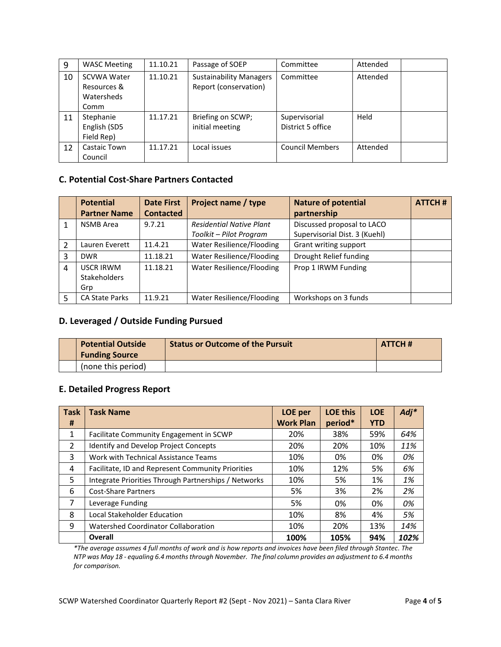| 9  | <b>WASC Meeting</b> | 11.10.21 | Passage of SOEP                | Committee              | Attended |  |
|----|---------------------|----------|--------------------------------|------------------------|----------|--|
| 10 | <b>SCVWA Water</b>  | 11.10.21 | <b>Sustainability Managers</b> | Committee              | Attended |  |
|    | Resources &         |          | Report (conservation)          |                        |          |  |
|    | Watersheds          |          |                                |                        |          |  |
|    | Comm                |          |                                |                        |          |  |
| 11 | Stephanie           | 11.17.21 | Briefing on SCWP;              | Supervisorial          | Held     |  |
|    | English (SD5        |          | initial meeting                | District 5 office      |          |  |
|    | Field Rep)          |          |                                |                        |          |  |
| 12 | Castaic Town        | 11.17.21 | Local issues                   | <b>Council Members</b> | Attended |  |
|    | Council             |          |                                |                        |          |  |

# **C. Potential Cost-Share Partners Contacted**

|   | <b>Potential</b>      | <b>Date First</b> | <b>Project name / type</b>                               | <b>Nature of potential</b> | <b>ATTCH#</b> |
|---|-----------------------|-------------------|----------------------------------------------------------|----------------------------|---------------|
|   | <b>Partner Name</b>   | <b>Contacted</b>  |                                                          | partnership                |               |
|   | <b>NSMB</b> Area      | 9.7.21            | <b>Residential Native Plant</b>                          | Discussed proposal to LACO |               |
|   |                       |                   | Supervisorial Dist. 3 (Kuehl)<br>Toolkit – Pilot Program |                            |               |
| 2 | Lauren Everett        | 11.4.21           | Water Resilience/Flooding                                | Grant writing support      |               |
| 3 | <b>DWR</b>            | 11.18.21          | Water Resilience/Flooding                                | Drought Relief funding     |               |
| 4 | <b>USCR IRWM</b>      | 11.18.21          | Water Resilience/Flooding                                | Prop 1 IRWM Funding        |               |
|   | <b>Stakeholders</b>   |                   |                                                          |                            |               |
|   | Grp                   |                   |                                                          |                            |               |
| 5 | <b>CA State Parks</b> | 11.9.21           | Water Resilience/Flooding                                | Workshops on 3 funds       |               |

# **D. Leveraged / Outside Funding Pursued**

|  | <b>Potential Outside</b><br><b>Funding Source</b> | <b>Status or Outcome of the Pursuit</b> | ATTCH# |
|--|---------------------------------------------------|-----------------------------------------|--------|
|  | (none this period)                                |                                         |        |

# **E. Detailed Progress Report**

| <b>Task</b>    | <b>Task Name</b>                                     | LOE per          | <b>LOE this</b> | <b>LOE</b> | $Adj*$ |
|----------------|------------------------------------------------------|------------------|-----------------|------------|--------|
| #              |                                                      | <b>Work Plan</b> | period*         | <b>YTD</b> |        |
| 1              | Facilitate Community Engagement in SCWP              | 20%              | 38%             | 59%        | 64%    |
| $\overline{2}$ | Identify and Develop Project Concepts                | 20%              | 20%             | 10%        | 11%    |
| 3              | Work with Technical Assistance Teams                 | 10%              | 0%              | 0%         | 0%     |
| 4              | Facilitate, ID and Represent Community Priorities    | 10%              | 12%             | 5%         | 6%     |
| 5              | Integrate Priorities Through Partnerships / Networks | 10%              | 5%              | 1%         | 1%     |
| 6              | <b>Cost-Share Partners</b>                           | 5%               | 3%              | 2%         | 2%     |
| 7              | Leverage Funding                                     | 5%               | 0%              | 0%         | 0%     |
| 8              | Local Stakeholder Education                          | 10%              | 8%              | 4%         | 5%     |
| 9              | <b>Watershed Coordinator Collaboration</b>           | 10%              | 20%             | 13%        | 14%    |
|                | Overall                                              | 100%             | 105%            | 94%        | 102%   |

*\*The average assumes 4 full months of work and is how reports and invoices have been filed through Stantec. The NTP was May 18 - equaling 6.4 months through November. The final column provides an adjustment to 6.4 months for comparison.*